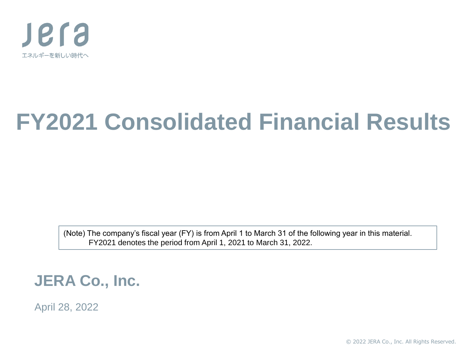

# **FY2021 Consolidated Financial Results**

(Note) The company's fiscal year (FY) is from April 1 to March 31 of the following year in this material. FY2021 denotes the period from April 1, 2021 to March 31, 2022.

**JERA Co., Inc.**

April 28, 2022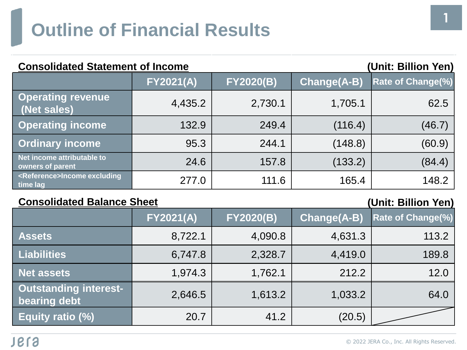# **Outline of Financial Results**

| <b>Consolidated Statement of Income</b><br>(Unit: Billion Yen) |                  |                  |                    |                          |  |  |
|----------------------------------------------------------------|------------------|------------------|--------------------|--------------------------|--|--|
|                                                                | <b>FY2021(A)</b> | <b>FY2020(B)</b> | <b>Change(A-B)</b> | <b>Rate of Change(%)</b> |  |  |
| <b>Operating revenue</b><br>(Net sales)                        | 4,435.2          | 2,730.1          | 1,705.1            | 62.5                     |  |  |
| <b>Operating income</b>                                        | 132.9            | 249.4            | (116.4)            | (46.7)                   |  |  |
| <b>Ordinary income</b>                                         | 95.3             | 244.1            | (148.8)            | (60.9)                   |  |  |
| Net income attributable to<br>owners of parent                 | 24.6             | 157.8            | (133.2)            | (84.4)                   |  |  |
| <reference>Income excluding<br/>time lag</reference>           | 277.0            | 111.6            | 165.4              | 148.2                    |  |  |

#### **Consolidated Balance Sheet (Unit: Billion Yen)**

|                                              | <b>FY2021(A)</b> | <b>FY2020(B)</b> | <b>Change(A-B)</b> | <b>Rate of Change(%)</b> |
|----------------------------------------------|------------------|------------------|--------------------|--------------------------|
| <b>Assets</b>                                | 8,722.1          | 4,090.8          | 4,631.3            | 113.2                    |
| <b>Liabilities</b>                           | 6,747.8          | 2,328.7          | 4,419.0            | 189.8                    |
| <b>Net assets</b>                            | 1,974.3          | 1,762.1          | 212.2              | 12.0                     |
| <b>Outstanding interest-</b><br>bearing debt | 2,646.5          | 1,613.2          | 1,033.2            | 64.0                     |
| Equity ratio (%)                             | 20.7             | 41.2             | (20.5)             |                          |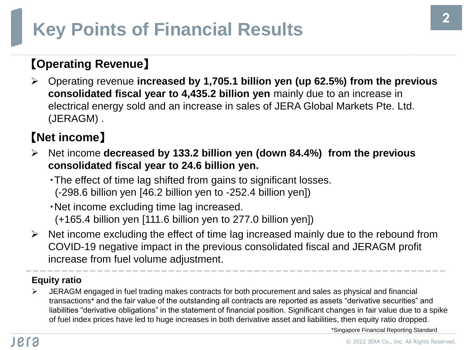# **Key Points of Financial Results**

### 【**Operating Revenue**】

➢ Operating revenue **increased by 1,705.1 billion yen (up 62.5%) from the previous consolidated fiscal year to 4,435.2 billion yen** mainly due to an increase in electrical energy sold and an increase in sales of JERA Global Markets Pte. Ltd. (JERAGM) .

### 【**Net income**】

- ➢ Net income **decreased by 133.2 billion yen (down 84.4%) from the previous consolidated fiscal year to 24.6 billion yen.**
	- ・The effect of time lag shifted from gains to significant losses. (-298.6 billion yen [46.2 billion yen to -252.4 billion yen])
	- ・Net income excluding time lag increased. (+165.4 billion yen [111.6 billion yen to 277.0 billion yen])
- $\triangleright$  Net income excluding the effect of time lag increased mainly due to the rebound from COVID-19 negative impact in the previous consolidated fiscal and JERAGM profit increase from fuel volume adjustment.

#### **Equity ratio**

➢ JERAGM engaged in fuel trading makes contracts for both procurement and sales as physical and financial transactions\* and the fair value of the outstanding all contracts are reported as assets "derivative securities" and liabilities "derivative obligations" in the statement of financial position. Significant changes in fair value due to a spike of fuel index prices have led to huge increases in both derivative asset and liabilities, then equity ratio dropped.

\*Singapore Financial Reporting Standard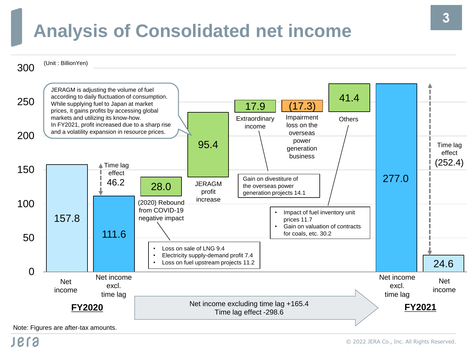### **Analysis of Consolidated net income**



Note: Figures are after-tax amounts.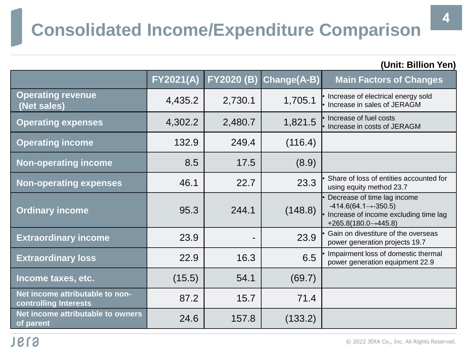### **Consolidated Income/Expenditure Comparison**

| (Unit: Billion Yen)                                      |                  |                   |             |                                                                                                                                                  |  |  |
|----------------------------------------------------------|------------------|-------------------|-------------|--------------------------------------------------------------------------------------------------------------------------------------------------|--|--|
|                                                          | <b>FY2021(A)</b> | <b>FY2020 (B)</b> | Change(A-B) | <b>Main Factors of Changes</b>                                                                                                                   |  |  |
| <b>Operating revenue</b><br>(Net sales)                  | 4,435.2          | 2,730.1           | 1,705.1     | • Increase of electrical energy sold<br>• Increase in sales of JERAGM                                                                            |  |  |
| <b>Operating expenses</b>                                | 4,302.2          | 2,480.7           | 1,821.5     | • Increase of fuel costs<br>• Increase in costs of JERAGM                                                                                        |  |  |
| <b>Operating income</b>                                  | 132.9            | 249.4             | (116.4)     |                                                                                                                                                  |  |  |
| <b>Non-operating income</b>                              | 8.5              | 17.5              | (8.9)       |                                                                                                                                                  |  |  |
| <b>Non-operating expenses</b>                            | 46.1             | 22.7              | 23.3        | Share of loss of entities accounted for<br>using equity method 23.7                                                                              |  |  |
| <b>Ordinary income</b>                                   | 95.3             | 244.1             | (148.8)     | Decrease of time lag income<br>$-414.6(64.1 \rightarrow -350.5)$<br>· Increase of income excluding time lag<br>$+265.8(180.0 \rightarrow 445.8)$ |  |  |
| <b>Extraordinary income</b>                              | 23.9             | $\blacksquare$    | 23.9        | Gain on divestiture of the overseas<br>power generation projects 19.7                                                                            |  |  |
| <b>Extraordinary loss</b>                                | 22.9             | 16.3              | 6.5         | • Impairment loss of domestic thermal<br>power generation equipment 22.9                                                                         |  |  |
| Income taxes, etc.                                       | (15.5)           | 54.1              | (69.7)      |                                                                                                                                                  |  |  |
| Net income attributable to non-<br>controlling Interests | 87.2             | 15.7              | 71.4        |                                                                                                                                                  |  |  |
| Net income attributable to owners<br>of parent           | 24.6             | 157.8             | (133.2)     |                                                                                                                                                  |  |  |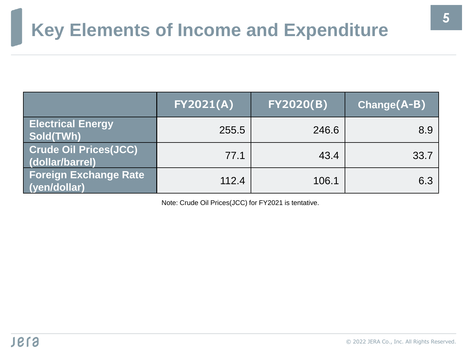### **Key Elements of Income and Expenditure**

|                                                 | <b>FY2021(A)</b> | <b>FY2020(B)</b> | $Change(A-B)$ |
|-------------------------------------------------|------------------|------------------|---------------|
| <b>Electrical Energy</b><br>Sold(TWh)           | 255.5            | 246.6            | 8.9           |
| <b>Crude Oil Prices(JCC)</b><br>(dollar/barrel) | 77.1             | 43.4             | 33.7          |
| <b>Foreign Exchange Rate</b><br>(yen/dollar)    | 112.4            | 106.1            | 6.3           |

Note: Crude Oil Prices(JCC) for FY2021 is tentative.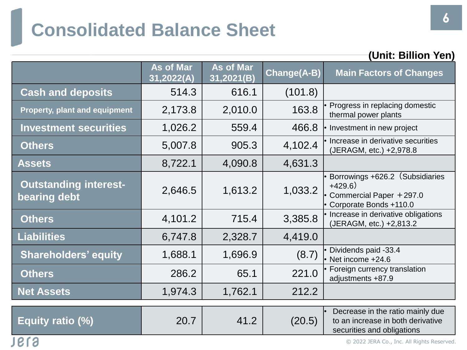### **Consolidated Balance Sheet**

|                                              | UNII: DINON TEN                |                                |             |                                                                                                     |  |  |  |  |
|----------------------------------------------|--------------------------------|--------------------------------|-------------|-----------------------------------------------------------------------------------------------------|--|--|--|--|
|                                              | <b>As of Mar</b><br>31,2022(A) | <b>As of Mar</b><br>31,2021(B) | Change(A-B) | <b>Main Factors of Changes</b>                                                                      |  |  |  |  |
| <b>Cash and deposits</b>                     | 514.3                          | 616.1                          | (101.8)     |                                                                                                     |  |  |  |  |
| <b>Property, plant and equipment</b>         | 2,173.8                        | 2,010.0                        | 163.8       | Progress in replacing domestic<br>thermal power plants                                              |  |  |  |  |
| <b>Investment securities</b>                 | 1,026.2                        | 559.4                          | 466.8       | Investment in new project                                                                           |  |  |  |  |
| <b>Others</b>                                | 5,007.8                        | 905.3                          | 4,102.4     | Increase in derivative securities<br>(JERAGM, etc.) +2,978.8                                        |  |  |  |  |
| <b>Assets</b>                                | 8,722.1                        | 4,090.8                        | 4,631.3     |                                                                                                     |  |  |  |  |
| <b>Outstanding interest-</b><br>bearing debt | 2,646.5                        | 1,613.2                        | 1,033.2     | Borrowings +626.2 (Subsidiaries<br>$+429.6)$<br>Commercial Paper +297.0<br>• Corporate Bonds +110.0 |  |  |  |  |
| <b>Others</b>                                | 4,101.2                        | 715.4                          | 3,385.8     | • Increase in derivative obligations<br>(JERAGM, etc.) +2,813.2                                     |  |  |  |  |
| <b>Liabilities</b>                           | 6,747.8                        | 2,328.7                        | 4,419.0     |                                                                                                     |  |  |  |  |
| <b>Shareholders' equity</b>                  | 1,688.1                        | 1,696.9                        | (8.7)       | Dividends paid -33.4<br>Net income +24.6                                                            |  |  |  |  |
| <b>Others</b>                                | 286.2                          | 65.1                           | 221.0       | Foreign currency translation<br>adjustments +87.9                                                   |  |  |  |  |
| <b>Net Assets</b>                            | 1,974.3                        | 1,762.1                        | 212.2       |                                                                                                     |  |  |  |  |
| Equity ratio (%)                             | 20.7                           | 41.2                           | (20.5)      | Decrease in the ratio mainly due<br>to an increase in both derivative<br>securities and obligations |  |  |  |  |

**(Unit: Billion Yen)**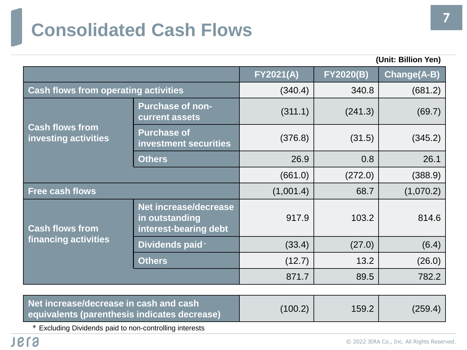# **Consolidated Cash Flows**

| (Unit: Billion Yen)                            |                                                                  |                  |                  |                    |
|------------------------------------------------|------------------------------------------------------------------|------------------|------------------|--------------------|
|                                                |                                                                  | <b>FY2021(A)</b> | <b>FY2020(B)</b> | <b>Change(A-B)</b> |
| <b>Cash flows from operating activities</b>    | (340.4)                                                          | 340.8            | (681.2)          |                    |
|                                                | <b>Purchase of non-</b><br>current assets                        | (311.1)          | (241.3)          | (69.7)             |
| <b>Cash flows from</b><br>investing activities | <b>Purchase of</b><br>investment securities                      | (376.8)          | (31.5)           | (345.2)            |
|                                                | <b>Others</b>                                                    | 26.9             | 0.8              | 26.1               |
|                                                |                                                                  | (661.0)          | (272.0)          | (388.9)            |
| <b>Free cash flows</b>                         |                                                                  | (1,001.4)        | 68.7             | (1,070.2)          |
| <b>Cash flows from</b>                         | Net increase/decrease<br>in outstanding<br>interest-bearing debt | 917.9            | 103.2            | 814.6              |
| financing activities                           | Dividends paid *                                                 | (33.4)           | (27.0)           | (6.4)              |
|                                                | <b>Others</b>                                                    | (12.7)           | 13.2             | (26.0)             |
|                                                |                                                                  | 871.7            | 89.5             | 782.2              |

| Net increase/decrease in cash and cash<br>equivalents (parenthesis indicates decrease) | (100.2) | 159.2 | (259.4) |
|----------------------------------------------------------------------------------------|---------|-------|---------|
|----------------------------------------------------------------------------------------|---------|-------|---------|

\* Excluding Dividends paid to non-controlling interests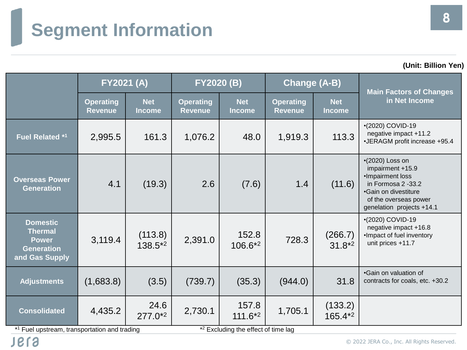# **Segment Information**

**(Unit: Billion Yen)**

|                                                                                          | <b>FY2021 (A)</b>                  |                             | <b>FY2020 (B)</b>                  |                             | <b>Change (A-B)</b>                |                             |                                                                                                                                                              |  |
|------------------------------------------------------------------------------------------|------------------------------------|-----------------------------|------------------------------------|-----------------------------|------------------------------------|-----------------------------|--------------------------------------------------------------------------------------------------------------------------------------------------------------|--|
|                                                                                          | <b>Operating</b><br><b>Revenue</b> | <b>Net</b><br><b>Income</b> | <b>Operating</b><br><b>Revenue</b> | <b>Net</b><br><b>Income</b> | <b>Operating</b><br><b>Revenue</b> | <b>Net</b><br><b>Income</b> | <b>Main Factors of Changes</b><br>in Net Income                                                                                                              |  |
| <b>Fuel Related *1</b>                                                                   | 2,995.5                            | 161.3                       | 1,076.2                            | 48.0                        | 1,919.3                            | 113.3                       | •(2020) COVID-19<br>negative impact +11.2<br>•JERAGM profit increase +95.4                                                                                   |  |
| <b>Overseas Power</b><br><b>Generation</b>                                               | 4.1                                | (19.3)                      | 2.6                                | (7.6)                       | 1.4                                | (11.6)                      | $(2020)$ Loss on<br>impairment +15.9<br>•Impairment loss<br>in Formosa 2 -33.2<br>•Gain on divestiture<br>of the overseas power<br>genelation projects +14.1 |  |
| <b>Domestic</b><br><b>Thermal</b><br><b>Power</b><br><b>Generation</b><br>and Gas Supply | 3,119.4                            | (113.8)<br>$138.5*^2$       | 2,391.0                            | 152.8<br>106.6*2            | 728.3                              | (266.7)<br>$31.8*2$         | •(2020) COVID-19<br>negative impact +16.8<br>·Impact of fuel inventory<br>unit prices +11.7                                                                  |  |
| <b>Adjustments</b>                                                                       | (1,683.8)                          | (3.5)                       | (739.7)                            | (35.3)                      | (944.0)                            | 31.8                        | •Gain on valuation of<br>contracts for coals, etc. +30.2                                                                                                     |  |
| <b>Consolidated</b>                                                                      | 4,435.2                            | 24.6<br>$277.0^{*2}$        | 2,730.1                            | 157.8<br>$111.6*2$          | 1,705.1                            | (133.2)<br>165.4*2          |                                                                                                                                                              |  |

\*1 Fuel upstream, transportation and trading  $\sim$  \*

\*<sup>2</sup> Excluding the effect of time lag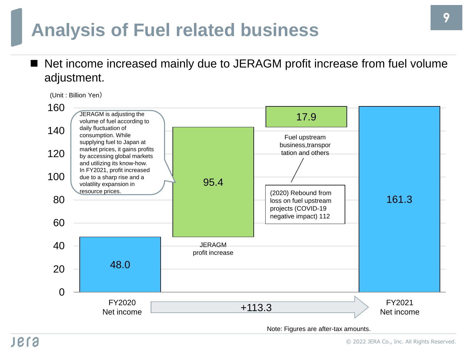### **Analysis of Fuel related business**

Net income increased mainly due to JERAGM profit increase from fuel volume adjustment.

(Unit : Billion Yen)



Note: Figures are after-tax amounts.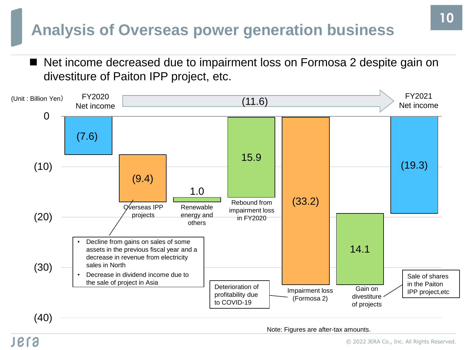### **Analysis of Overseas power generation business**

Net income decreased due to impairment loss on Formosa 2 despite gain on divestiture of Paiton IPP project, etc.



Note: Figures are after-tax amounts.

### **IBLS**

© 2022 JERA Co., Inc. All Rights Reserved.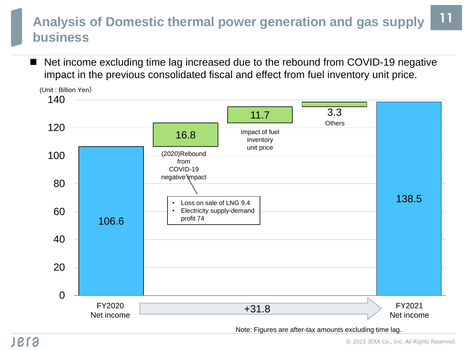#### **11 Analysis of Domestic thermal power generation and gas supply business**

Net income excluding time lag increased due to the rebound from COVID-19 negative impact in the previous consolidated fiscal and effect from fuel inventory unit price.

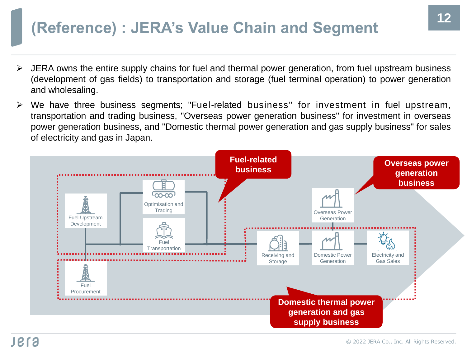### **(Reference) : JERA's Value Chain and Segment <sup>12</sup>**

- ➢ JERA owns the entire supply chains for fuel and thermal power generation, from fuel upstream business (development of gas fields) to transportation and storage (fuel terminal operation) to power generation and wholesaling.
- We have three business segments; "Fuel-related business" for investment in fuel upstream, transportation and trading business, "Overseas power generation business" for investment in overseas power generation business, and "Domestic thermal power generation and gas supply business" for sales of electricity and gas in Japan.

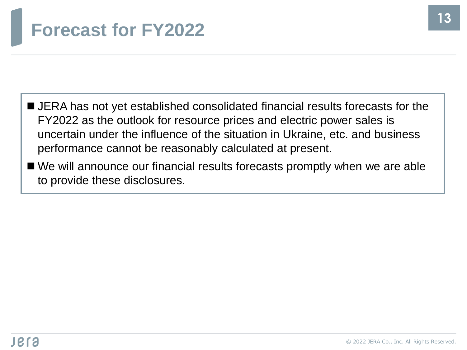### **Forecast for FY2022**

- JERA has not yet established consolidated financial results forecasts for the FY2022 as the outlook for resource prices and electric power sales is uncertain under the influence of the situation in Ukraine, etc. and business performance cannot be reasonably calculated at present.
- We will announce our financial results forecasts promptly when we are able to provide these disclosures.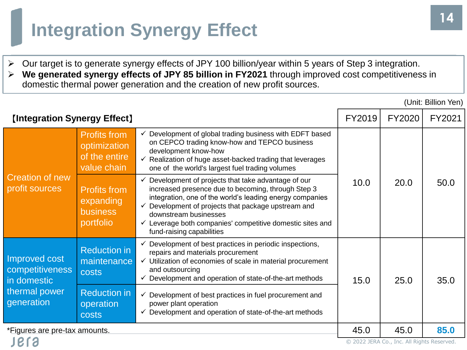### **Integration Synergy Effect**

**P.TA** 

- ➢ Our target is to generate synergy effects of JPY 100 billion/year within 5 years of Step 3 integration.
- ➢ **We generated synergy effects of JPY 85 billion in FY2021** through improved cost competitiveness in domestic thermal power generation and the creation of new profit sources.

|                                                 |                                                                     |                                                                                                                                                                                                                                                                                                                                                                         | (Unit: Billion Yen) |        |        |
|-------------------------------------------------|---------------------------------------------------------------------|-------------------------------------------------------------------------------------------------------------------------------------------------------------------------------------------------------------------------------------------------------------------------------------------------------------------------------------------------------------------------|---------------------|--------|--------|
| <b>[Integration Synergy Effect]</b>             |                                                                     |                                                                                                                                                                                                                                                                                                                                                                         | FY2019              | FY2020 | FY2021 |
| <b>Creation of new</b><br>profit sources        | <b>Profits from</b><br>optimization<br>of the entire<br>value chain | Development of global trading business with EDFT based<br>$\checkmark$<br>on CEPCO trading know-how and TEPCO business<br>development know-how<br>$\checkmark$ Realization of huge asset-backed trading that leverages<br>one of the world's largest fuel trading volumes                                                                                               |                     |        |        |
|                                                 | <b>Profits from</b><br>expanding<br><b>business</b><br>portfolio    | Development of projects that take advantage of our<br>$\checkmark$<br>increased presence due to becoming, through Step 3<br>integration, one of the world's leading energy companies<br>Development of projects that package upstream and<br>downstream businesses<br>$\checkmark$ Leverage both companies' competitive domestic sites and<br>fund-raising capabilities | 10.0                | 20.0   | 50.0   |
| Improved cost<br>competitiveness<br>in domestic | <b>Reduction in</b><br>maintenance<br>costs                         | Development of best practices in periodic inspections,<br>repairs and materials procurement<br>Utilization of economies of scale in material procurement<br>✓<br>and outsourcing<br>$\checkmark$ Development and operation of state-of-the-art methods                                                                                                                  | 15.0                | 25.0   | 35.0   |
| thermal power<br>generation                     | <b>Reduction in</b><br>operation<br><b>costs</b>                    | Development of best practices in fuel procurement and<br>✓<br>power plant operation<br>Development and operation of state-of-the-art methods                                                                                                                                                                                                                            |                     |        |        |
| *Figures are pre-tax amounts.                   |                                                                     | 45.0                                                                                                                                                                                                                                                                                                                                                                    | 45.0                | 85.0   |        |

© 2022 JERA Co., Inc. All Rights Reserved.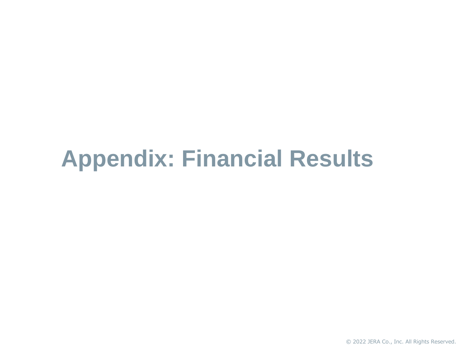# **Appendix: Financial Results**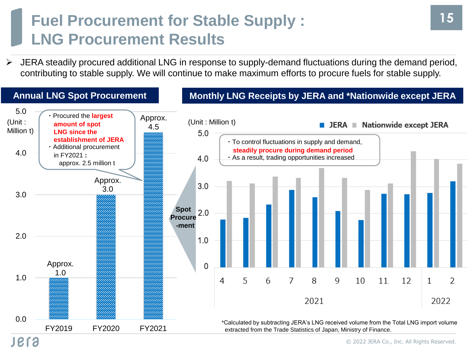### **Fuel Procurement for Stable Supply : LNG Procurement Results**

➢ JERA steadily procured additional LNG in response to supply-demand fluctuations during the demand period, contributing to stable supply. We will continue to make maximum efforts to procure fuels for stable supply.



**15**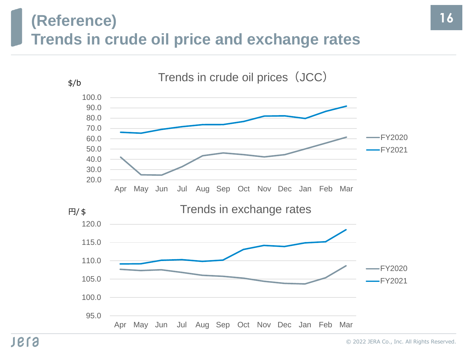### **(Reference) Trends in crude oil price and exchange rates**

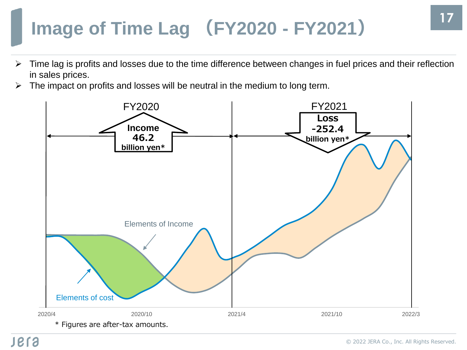# **Image of Time Lag (FY2020 - FY2021)**

- ➢ Time lag is profits and losses due to the time difference between changes in fuel prices and their reflection in sales prices.
- $\triangleright$  The impact on profits and losses will be neutral in the medium to long term.

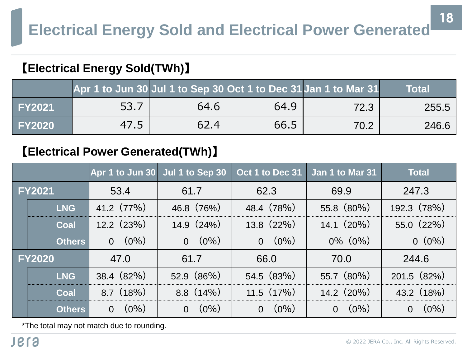#### 【**Electrical Energy Sold(TWh)**】

|               | Apr 1 to Jun 30 Jul 1 to Sep 30 Oct 1 to Dec 31 Jan 1 to Mar 31 |      |      |      | Total |
|---------------|-----------------------------------------------------------------|------|------|------|-------|
| <b>FY2021</b> | 53.7                                                            | 64.6 | 64.9 | 72.3 | 255.5 |
| <b>FY2020</b> | 47.5                                                            | 62.4 | 66.5 | 70.2 | 246.6 |

#### 【**Electrical Power Generated(TWh)**】

|               |               |                     | Apr 1 to Jun 30 Jul 1 to Sep 30 | Oct 1 to Dec 31           | Jan 1 to Mar 31     | <b>Total</b>        |
|---------------|---------------|---------------------|---------------------------------|---------------------------|---------------------|---------------------|
| <b>FY2021</b> |               | 53.4                | 61.7                            | 62.3                      | 69.9                | 247.3               |
|               | <b>LNG</b>    | 41.2 (77%)          | 46.8(76%)                       | 48.4 (78%)                | 55.8 (80%)          | 192.3 (78%)         |
|               | Coal          | 12.2(23%)           | $14.9(24\%)$                    | $13.8(22\%)$              | $14.1(20\%)$        | $55.0(22\%)$        |
|               | <b>Others</b> | $(0\%)$<br>$\Omega$ | $(0\%)$<br>$\Omega$             | $(0\%)$<br>$\overline{0}$ | $0\%$ $(0\%)$       | $0(0\%)$            |
| <b>FY2020</b> |               | 47.0                | 61.7                            | 66.0                      | 70.0                | 244.6               |
|               | <b>LNG</b>    | $38.4 (82\%)$       | 52.9(86%)                       | 54.5 (83%)                | 55.7 (80%)          | $201.5$ $(82\%)$    |
|               | Coal          | $8.7(18\%)$         | $8.8(14\%)$                     | $11.5(17\%)$              | $14.2 \ (20\%)$     | 43.2 (18%)          |
|               | <b>Others</b> | $(0\%)$<br>$\Omega$ | $(0\%)$<br>$\Omega$             | $(0\%)$<br>$\Omega$       | $(0\%)$<br>$\Omega$ | $(0\%)$<br>$\Omega$ |

\*The total may not match due to rounding.